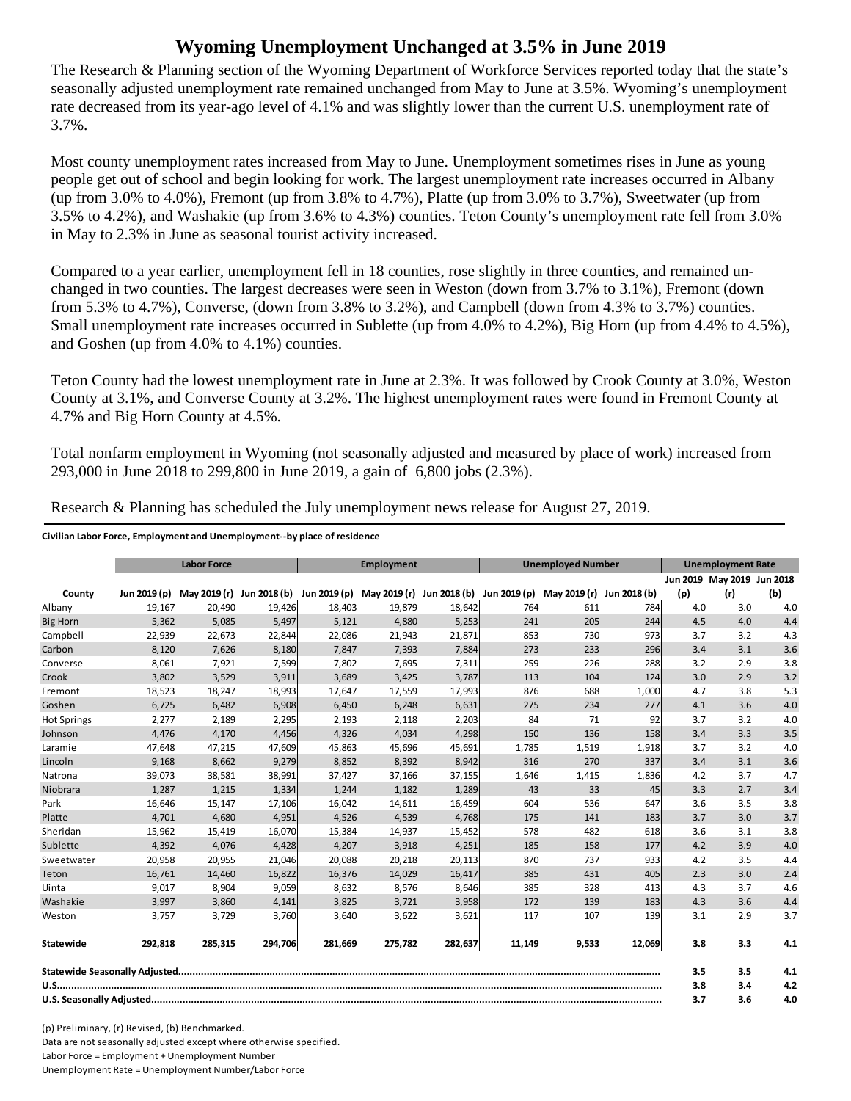## **Wyoming Unemployment Unchanged at 3.5% in June 2019**

The Research & Planning section of the Wyoming Department of Workforce Services reported today that the state's seasonally adjusted unemployment rate remained unchanged from May to June at 3.5%. Wyoming's unemployment rate decreased from its year-ago level of 4.1% and was slightly lower than the current U.S. unemployment rate of 3.7%.

Most county unemployment rates increased from May to June. Unemployment sometimes rises in June as young people get out of school and begin looking for work. The largest unemployment rate increases occurred in Albany (up from 3.0% to 4.0%), Fremont (up from 3.8% to 4.7%), Platte (up from 3.0% to 3.7%), Sweetwater (up from 3.5% to 4.2%), and Washakie (up from 3.6% to 4.3%) counties. Teton County's unemployment rate fell from 3.0% in May to 2.3% in June as seasonal tourist activity increased.

Compared to a year earlier, unemployment fell in 18 counties, rose slightly in three counties, and remained unchanged in two counties. The largest decreases were seen in Weston (down from 3.7% to 3.1%), Fremont (down from 5.3% to 4.7%), Converse, (down from 3.8% to 3.2%), and Campbell (down from 4.3% to 3.7%) counties. Small unemployment rate increases occurred in Sublette (up from 4.0% to 4.2%), Big Horn (up from 4.4% to 4.5%), and Goshen (up from 4.0% to 4.1%) counties.

Teton County had the lowest unemployment rate in June at 2.3%. It was followed by Crook County at 3.0%, Weston County at 3.1%, and Converse County at 3.2%. The highest unemployment rates were found in Fremont County at 4.7% and Big Horn County at 4.5%.

Total nonfarm employment in Wyoming (not seasonally adjusted and measured by place of work) increased from 293,000 in June 2018 to 299,800 in June 2019, a gain of 6,800 jobs (2.3%).

|                    | <b>Labor Force</b> |         |         | <b>Employment</b> |         |         | <b>Unemployed Number</b> |                                                                                                                      |            | <b>Unemployment Rate</b> |                            |     |
|--------------------|--------------------|---------|---------|-------------------|---------|---------|--------------------------|----------------------------------------------------------------------------------------------------------------------|------------|--------------------------|----------------------------|-----|
|                    |                    |         |         |                   |         |         |                          |                                                                                                                      |            |                          | Jun 2019 May 2019 Jun 2018 |     |
| County             |                    |         |         |                   |         |         |                          | Jun 2019 (p) May 2019 (r) Jun 2018 (b) Jun 2019 (p) May 2019 (r) Jun 2018 (b) Jun 2019 (p) May 2019 (r) Jun 2018 (b) |            | (p)                      | (r)                        | (b) |
| Albany             | 19,167             | 20,490  | 19,426  | 18,403            | 19,879  | 18,642  | 764                      | 611                                                                                                                  | 784        | 4.0                      | 3.0                        | 4.0 |
| <b>Big Horn</b>    | 5,362              | 5,085   | 5,497   | 5,121             | 4,880   | 5,253   | 241                      | 205                                                                                                                  | 244        | 4.5                      | 4.0                        | 4.4 |
| Campbell           | 22,939             | 22,673  | 22,844  | 22,086            | 21,943  | 21,871  | 853                      | 730                                                                                                                  | 973        | 3.7                      | 3.2                        | 4.3 |
| Carbon             | 8,120              | 7,626   | 8,180   | 7,847             | 7,393   | 7,884   | 273                      | 233                                                                                                                  | 296        | 3.4                      | 3.1                        | 3.6 |
| Converse           | 8,061              | 7,921   | 7,599   | 7,802             | 7,695   | 7,311   | 259                      | 226                                                                                                                  | 288        | 3.2                      | 2.9                        | 3.8 |
| Crook              | 3,802              | 3,529   | 3,911   | 3,689             | 3,425   | 3,787   | 113                      | 104                                                                                                                  | 124        | 3.0                      | 2.9                        | 3.2 |
| Fremont            | 18,523             | 18,247  | 18,993  | 17,647            | 17,559  | 17,993  | 876                      | 688                                                                                                                  | 1,000      | 4.7                      | 3.8                        | 5.3 |
| Goshen             | 6,725              | 6,482   | 6,908   | 6,450             | 6,248   | 6,631   | 275                      | 234                                                                                                                  | 277        | 4.1                      | 3.6                        | 4.0 |
| <b>Hot Springs</b> | 2,277              | 2,189   | 2,295   | 2,193             | 2,118   | 2,203   | 84                       | 71                                                                                                                   | 92         | 3.7                      | 3.2                        | 4.0 |
| Johnson            | 4,476              | 4,170   | 4,456   | 4,326             | 4,034   | 4,298   | 150                      | 136                                                                                                                  | 158        | 3.4                      | 3.3                        | 3.5 |
| Laramie            | 47,648             | 47,215  | 47,609  | 45,863            | 45,696  | 45,691  | 1,785                    | 1,519                                                                                                                | 1,918      | 3.7                      | 3.2                        | 4.0 |
| Lincoln            | 9,168              | 8,662   | 9,279   | 8,852             | 8,392   | 8,942   | 316                      | 270                                                                                                                  | 337        | 3.4                      | 3.1                        | 3.6 |
| Natrona            | 39,073             | 38,581  | 38,991  | 37,427            | 37,166  | 37,155  | 1,646                    | 1,415                                                                                                                | 1,836      | 4.2                      | 3.7                        | 4.7 |
| Niobrara           | 1,287              | 1,215   | 1,334   | 1,244             | 1,182   | 1,289   | 43                       | 33                                                                                                                   | 45         | 3.3                      | 2.7                        | 3.4 |
| Park               | 16,646             | 15,147  | 17,106  | 16,042            | 14,611  | 16,459  | 604                      | 536                                                                                                                  | 647        | 3.6                      | 3.5                        | 3.8 |
| Platte             | 4,701              | 4,680   | 4,951   | 4,526             | 4,539   | 4,768   | 175                      | 141                                                                                                                  | <b>183</b> | 3.7                      | 3.0                        | 3.7 |
| Sheridan           | 15,962             | 15,419  | 16,070  | 15,384            | 14,937  | 15,452  | 578                      | 482                                                                                                                  | 618        | 3.6                      | 3.1                        | 3.8 |
| Sublette           | 4,392              | 4,076   | 4,428   | 4,207             | 3,918   | 4,251   | 185                      | 158                                                                                                                  | 177        | 4.2                      | 3.9                        | 4.0 |
| Sweetwater         | 20,958             | 20,955  | 21,046  | 20,088            | 20,218  | 20,113  | 870                      | 737                                                                                                                  | 933        | 4.2                      | 3.5                        | 4.4 |
| Teton              | 16,761             | 14,460  | 16,822  | 16,376            | 14,029  | 16,417  | 385                      | 431                                                                                                                  | 405        | 2.3                      | 3.0                        | 2.4 |
| Uinta              | 9,017              | 8,904   | 9,059   | 8,632             | 8,576   | 8,646   | 385                      | 328                                                                                                                  | 413        | 4.3                      | 3.7                        | 4.6 |
| Washakie           | 3.997              | 3,860   | 4,141   | 3,825             | 3,721   | 3,958   | 172                      | 139                                                                                                                  | <b>183</b> | 4.3                      | 3.6                        | 4.4 |
| Weston             | 3,757              | 3,729   | 3,760   | 3,640             | 3,622   | 3,621   | 117                      | 107                                                                                                                  | 139        | 3.1                      | 2.9                        | 3.7 |
| Statewide          | 292,818            | 285,315 | 294,706 | 281,669           | 275,782 | 282,637 | 11,149                   | 9,533                                                                                                                | 12,069     | 3.8                      | 3.3                        | 4.1 |
|                    |                    |         |         |                   |         |         |                          | 3.5                                                                                                                  | 3.5        | 4.1                      |                            |     |
|                    |                    |         |         |                   |         |         |                          | 3.8                                                                                                                  | 3.4        | 4.2                      |                            |     |
|                    |                    |         |         |                   |         |         | 3.7                      | 3.6                                                                                                                  | 4.0        |                          |                            |     |

Research & Planning has scheduled the July unemployment news release for August 27, 2019.

**Civilian Labor Force, Employment and Unemployment‐‐by place of residence**

(p) Preliminary, (r) Revised, (b) Benchmarked. Data are not seasonally adjusted except where otherwise specified. Labor Force = Employment + Unemployment Number Unemployment Rate = Unemployment Number/Labor Force